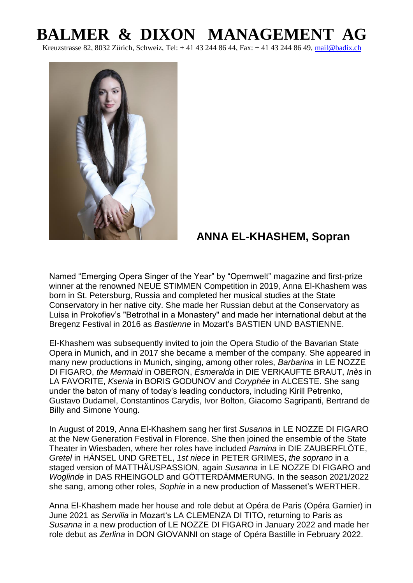## **BALMER & DIXON MANAGEMENT AG**

Kreuzstrasse 82, 8032 Zürich, Schweiz, Tel: + 41 43 244 86 44, Fax: + 41 43 244 86 49, [mail@badix.ch](mailto:mail@badix.ch)



## **ANNA EL-KHASHEM, Sopran**

Named "Emerging Opera Singer of the Year" by "Opernwelt" magazine and first-prize winner at the renowned NEUE STIMMEN Competition in 2019, Anna El-Khashem was born in St. Petersburg, Russia and completed her musical studies at the State Conservatory in her native city. She made her Russian debut at the Conservatory as Luisa in Prokofiev's "Betrothal in a Monastery" and made her international debut at the Bregenz Festival in 2016 as *Bastienne* in Mozart's BASTIEN UND BASTIENNE.

El-Khashem was subsequently invited to join the Opera Studio of the Bavarian State Opera in Munich, and in 2017 she became a member of the company. She appeared in many new productions in Munich, singing, among other roles, *Barbarina* in LE NOZZE DI FIGARO, *the Mermaid* in OBERON, *Esmeralda* in DIE VERKAUFTE BRAUT, *Inès* in LA FAVORITE, *Ksenia* in BORIS GODUNOV and *Coryphée* in ALCESTE. She sang under the baton of many of today's leading conductors, including Kirill Petrenko, Gustavo Dudamel, Constantinos Carydis, Ivor Bolton, Giacomo Sagripanti, Bertrand de Billy and Simone Young.

In August of 2019, Anna El-Khashem sang her first *Susanna* in LE NOZZE DI FIGARO at the New Generation Festival in Florence. She then joined the ensemble of the State Theater in Wiesbaden, where her roles have included *Pamina* in DIE ZAUBERFLÖTE, *Gretel* in HÄNSEL UND GRETEL, *1st niece* in PETER GRIMES, *the soprano* in a staged version of MATTHÄUSPASSION, again *Susanna* in LE NOZZE DI FIGARO and *Woglinde* in DAS RHEINGOLD and GÖTTERDÄMMERUNG. In the season 2021/2022 she sang, among other roles, *Sophie* in a new production of Massenet's WERTHER.

Anna El-Khashem made her house and role debut at Opéra de Paris (Opéra Garnier) in June 2021 as *Servilia* in Mozart's LA CLEMENZA DI TITO, returning to Paris as *Susanna* in a new production of LE NOZZE DI FIGARO in January 2022 and made her role debut as *Zerlina* in DON GIOVANNI on stage of Opéra Bastille in February 2022.